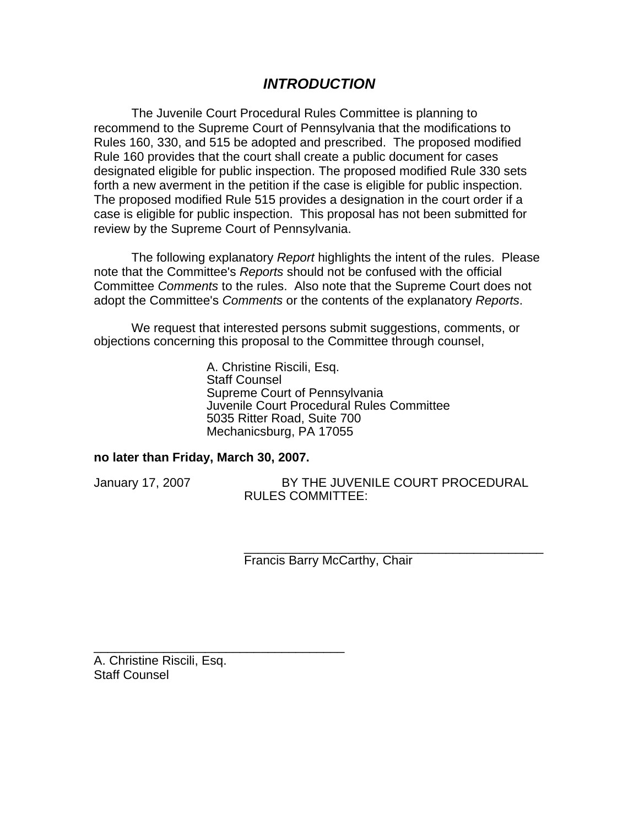# *INTRODUCTION*

The Juvenile Court Procedural Rules Committee is planning to recommend to the Supreme Court of Pennsylvania that the modifications to Rules 160, 330, and 515 be adopted and prescribed. The proposed modified Rule 160 provides that the court shall create a public document for cases designated eligible for public inspection. The proposed modified Rule 330 sets forth a new averment in the petition if the case is eligible for public inspection. The proposed modified Rule 515 provides a designation in the court order if a case is eligible for public inspection. This proposal has not been submitted for review by the Supreme Court of Pennsylvania.

The following explanatory *Report* highlights the intent of the rules. Please note that the Committee's *Reports* should not be confused with the official Committee *Comments* to the rules. Also note that the Supreme Court does not adopt the Committee's *Comments* or the contents of the explanatory *Reports*.

We request that interested persons submit suggestions, comments, or objections concerning this proposal to the Committee through counsel,

> A. Christine Riscili, Esq. Staff Counsel Supreme Court of Pennsylvania Juvenile Court Procedural Rules Committee 5035 Ritter Road, Suite 700 Mechanicsburg, PA 17055

#### **no later than Friday, March 30, 2007.**

\_\_\_\_\_\_\_\_\_\_\_\_\_\_\_\_\_\_\_\_\_\_\_\_\_\_\_\_\_\_\_\_\_\_\_\_

January 17, 2007 BY THE JUVENILE COURT PROCEDURAL RULES COMMITTEE:

> \_\_\_\_\_\_\_\_\_\_\_\_\_\_\_\_\_\_\_\_\_\_\_\_\_\_\_\_\_\_\_\_\_\_\_\_\_\_\_\_\_\_\_ Francis Barry McCarthy, Chair

A. Christine Riscili, Esq. Staff Counsel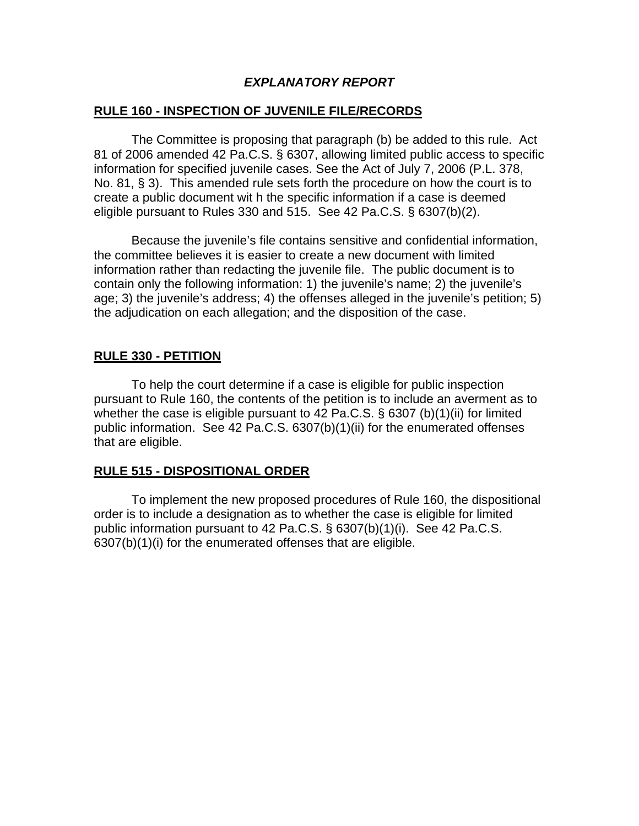## *EXPLANATORY REPORT*

# **RULE 160 - INSPECTION OF JUVENILE FILE/RECORDS**

 The Committee is proposing that paragraph (b) be added to this rule. Act 81 of 2006 amended 42 Pa.C.S. § 6307, allowing limited public access to specific information for specified juvenile cases. See the Act of July 7, 2006 (P.L. 378, No. 81, § 3). This amended rule sets forth the procedure on how the court is to create a public document wit h the specific information if a case is deemed eligible pursuant to Rules 330 and 515. See 42 Pa.C.S. § 6307(b)(2).

 Because the juvenile's file contains sensitive and confidential information, the committee believes it is easier to create a new document with limited information rather than redacting the juvenile file. The public document is to contain only the following information: 1) the juvenile's name; 2) the juvenile's age; 3) the juvenile's address; 4) the offenses alleged in the juvenile's petition; 5) the adjudication on each allegation; and the disposition of the case.

# **RULE 330 - PETITION**

 To help the court determine if a case is eligible for public inspection pursuant to Rule 160, the contents of the petition is to include an averment as to whether the case is eligible pursuant to 42 Pa.C.S. § 6307 (b)(1)(ii) for limited public information. See 42 Pa.C.S. 6307(b)(1)(ii) for the enumerated offenses that are eligible.

## **RULE 515 - DISPOSITIONAL ORDER**

 To implement the new proposed procedures of Rule 160, the dispositional order is to include a designation as to whether the case is eligible for limited public information pursuant to 42 Pa.C.S. § 6307(b)(1)(i). See 42 Pa.C.S. 6307(b)(1)(i) for the enumerated offenses that are eligible.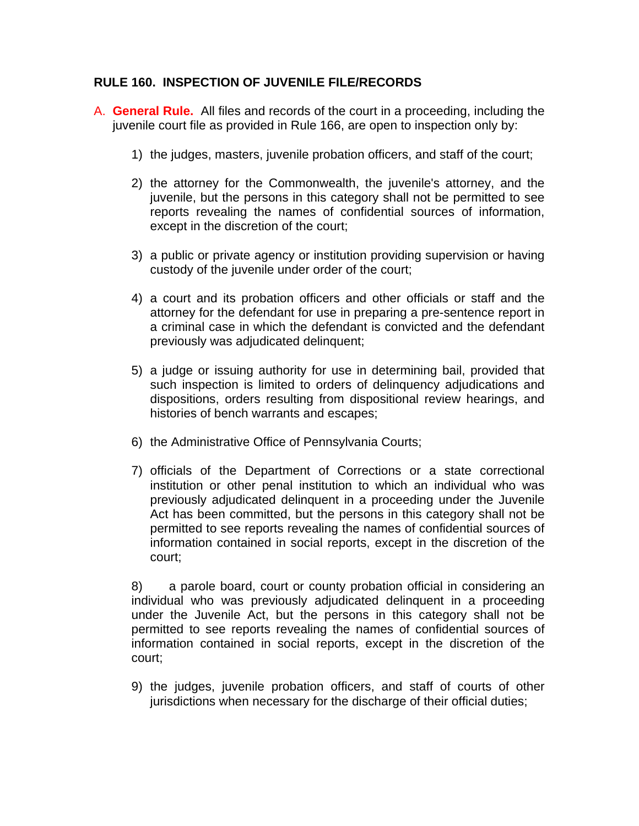# **RULE 160. INSPECTION OF JUVENILE FILE/RECORDS**

- A. **General Rule.** All files and records of the court in a proceeding, including the juvenile court file as provided in Rule 166, are open to inspection only by:
	- 1) the judges, masters, juvenile probation officers, and staff of the court;
	- 2) the attorney for the Commonwealth, the juvenile's attorney, and the juvenile, but the persons in this category shall not be permitted to see reports revealing the names of confidential sources of information, except in the discretion of the court;
	- 3) a public or private agency or institution providing supervision or having custody of the juvenile under order of the court;
	- 4) a court and its probation officers and other officials or staff and the attorney for the defendant for use in preparing a pre-sentence report in a criminal case in which the defendant is convicted and the defendant previously was adjudicated delinquent;
	- 5) a judge or issuing authority for use in determining bail, provided that such inspection is limited to orders of delinquency adjudications and dispositions, orders resulting from dispositional review hearings, and histories of bench warrants and escapes;
	- 6) the Administrative Office of Pennsylvania Courts;
	- 7) officials of the Department of Corrections or a state correctional institution or other penal institution to which an individual who was previously adjudicated delinquent in a proceeding under the Juvenile Act has been committed, but the persons in this category shall not be permitted to see reports revealing the names of confidential sources of information contained in social reports, except in the discretion of the court;

8) a parole board, court or county probation official in considering an individual who was previously adjudicated delinquent in a proceeding under the Juvenile Act, but the persons in this category shall not be permitted to see reports revealing the names of confidential sources of information contained in social reports, except in the discretion of the court;

9) the judges, juvenile probation officers, and staff of courts of other jurisdictions when necessary for the discharge of their official duties;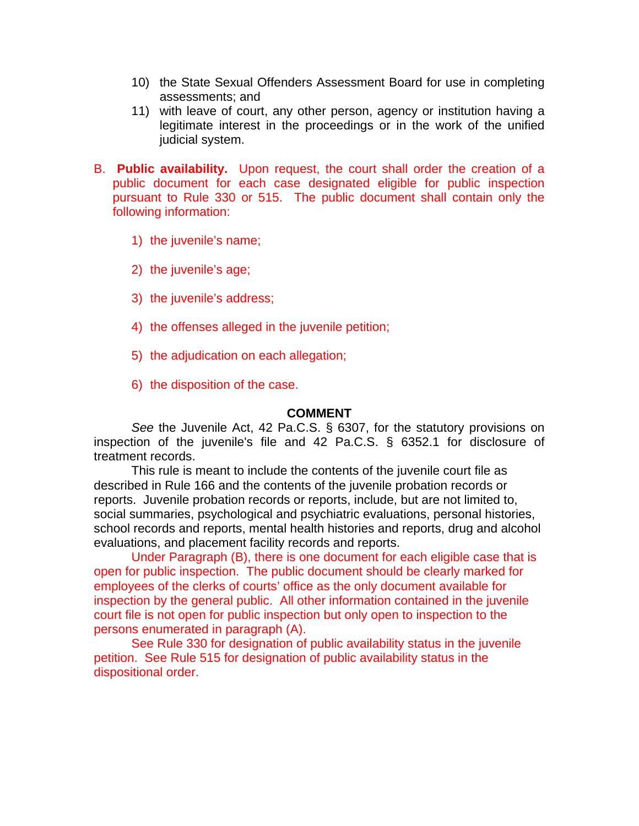- 10) the State Sexual Offenders Assessment Board for use in completing assessments; and
- 11) with leave of court, any other person, agency or institution having a legitimate interest in the proceedings or in the work of the unified judicial system.
- B. **Public availability.** Upon request, the court shall order the creation of a public document for each case designated eligible for public inspection pursuant to Rule 330 or 515. The public document shall contain only the following information:
	- 1) the juvenile's name;
	- 2) the juvenile's age;
	- 3) the juvenile's address;
	- 4) the offenses alleged in the juvenile petition;
	- 5) the adjudication on each allegation;
	- 6) the disposition of the case.

#### **COMMENT**

*See* the Juvenile Act, 42 Pa.C.S. § 6307, for the statutory provisions on inspection of the juvenile's file and 42 Pa.C.S. § 6352.1 for disclosure of treatment records.

 This rule is meant to include the contents of the juvenile court file as described in Rule 166 and the contents of the juvenile probation records or reports. Juvenile probation records or reports, include, but are not limited to, social summaries, psychological and psychiatric evaluations, personal histories, school records and reports, mental health histories and reports, drug and alcohol evaluations, and placement facility records and reports.

Under Paragraph (B), there is one document for each eligible case that is open for public inspection. The public document should be clearly marked for employees of the clerks of courts' office as the only document available for inspection by the general public. All other information contained in the juvenile court file is not open for public inspection but only open to inspection to the persons enumerated in paragraph (A).

See Rule 330 for designation of public availability status in the juvenile petition. See Rule 515 for designation of public availability status in the dispositional order.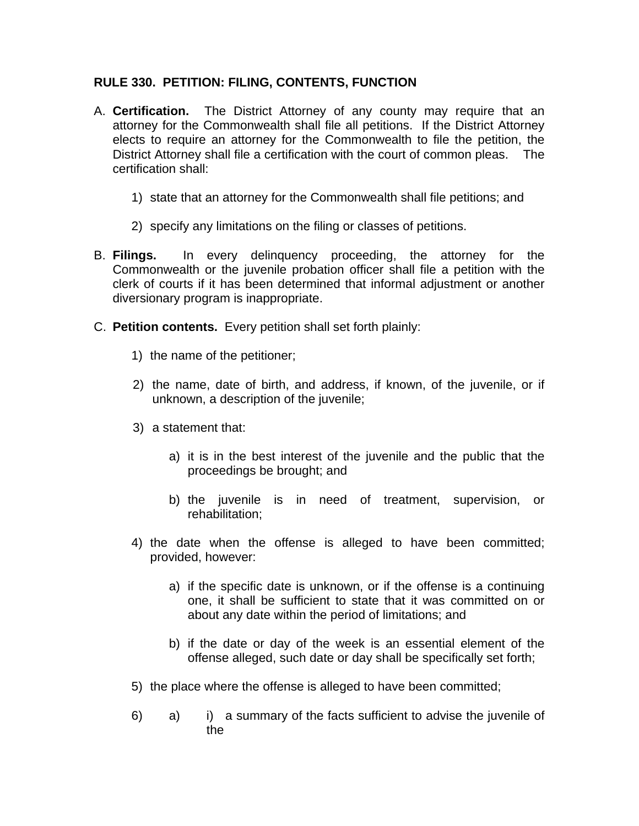# **RULE 330. PETITION: FILING, CONTENTS, FUNCTION**

- A. **Certification.** The District Attorney of any county may require that an attorney for the Commonwealth shall file all petitions. If the District Attorney elects to require an attorney for the Commonwealth to file the petition, the District Attorney shall file a certification with the court of common pleas. The certification shall:
	- 1) state that an attorney for the Commonwealth shall file petitions; and
	- 2) specify any limitations on the filing or classes of petitions.
- B. **Filings.** In every delinquency proceeding, the attorney for the Commonwealth or the juvenile probation officer shall file a petition with the clerk of courts if it has been determined that informal adjustment or another diversionary program is inappropriate.
- C. **Petition contents.** Every petition shall set forth plainly:
	- 1) the name of the petitioner;
	- 2) the name, date of birth, and address, if known, of the juvenile, or if unknown, a description of the juvenile;
	- 3) a statement that:
		- a) it is in the best interest of the juvenile and the public that the proceedings be brought; and
		- b) the juvenile is in need of treatment, supervision, or rehabilitation;
	- 4) the date when the offense is alleged to have been committed; provided, however:
		- a) if the specific date is unknown, or if the offense is a continuing one, it shall be sufficient to state that it was committed on or about any date within the period of limitations; and
		- b) if the date or day of the week is an essential element of the offense alleged, such date or day shall be specifically set forth;
	- 5) the place where the offense is alleged to have been committed;
	- 6) a) i) a summary of the facts sufficient to advise the juvenile of the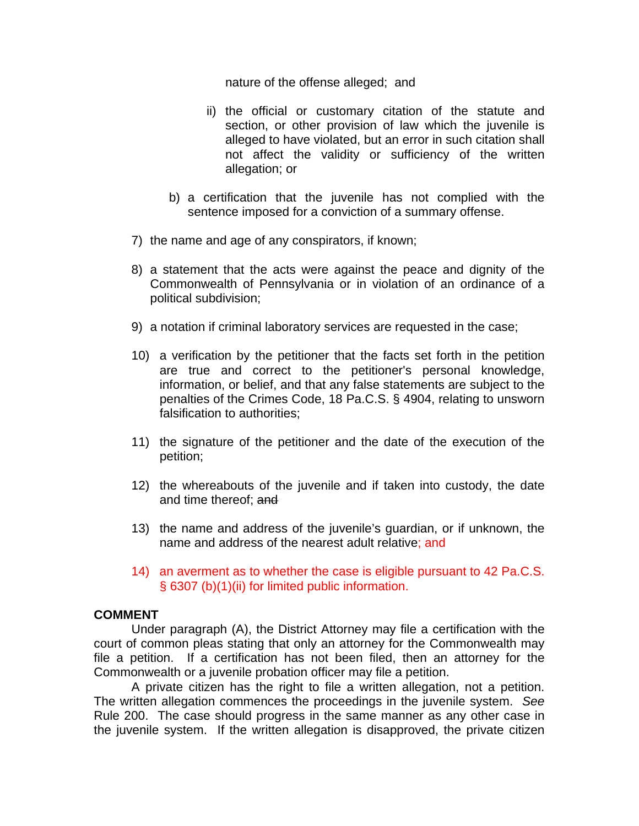nature of the offense alleged; and

- ii) the official or customary citation of the statute and section, or other provision of law which the juvenile is alleged to have violated, but an error in such citation shall not affect the validity or sufficiency of the written allegation; or
- b) a certification that the juvenile has not complied with the sentence imposed for a conviction of a summary offense.
- 7) the name and age of any conspirators, if known;
- 8) a statement that the acts were against the peace and dignity of the Commonwealth of Pennsylvania or in violation of an ordinance of a political subdivision;
- 9) a notation if criminal laboratory services are requested in the case;
- 10) a verification by the petitioner that the facts set forth in the petition are true and correct to the petitioner's personal knowledge, information, or belief, and that any false statements are subject to the penalties of the Crimes Code, 18 Pa.C.S. § 4904, relating to unsworn falsification to authorities;
- 11) the signature of the petitioner and the date of the execution of the petition;
- 12) the whereabouts of the juvenile and if taken into custody, the date and time thereof; and
- 13) the name and address of the juvenile's guardian, or if unknown, the name and address of the nearest adult relative; and
- 14) an averment as to whether the case is eligible pursuant to 42 Pa.C.S. § 6307 (b)(1)(ii) for limited public information.

## **COMMENT**

Under paragraph (A), the District Attorney may file a certification with the court of common pleas stating that only an attorney for the Commonwealth may file a petition. If a certification has not been filed, then an attorney for the Commonwealth or a juvenile probation officer may file a petition.

A private citizen has the right to file a written allegation, not a petition. The written allegation commences the proceedings in the juvenile system. *See*  Rule 200. The case should progress in the same manner as any other case in the juvenile system. If the written allegation is disapproved, the private citizen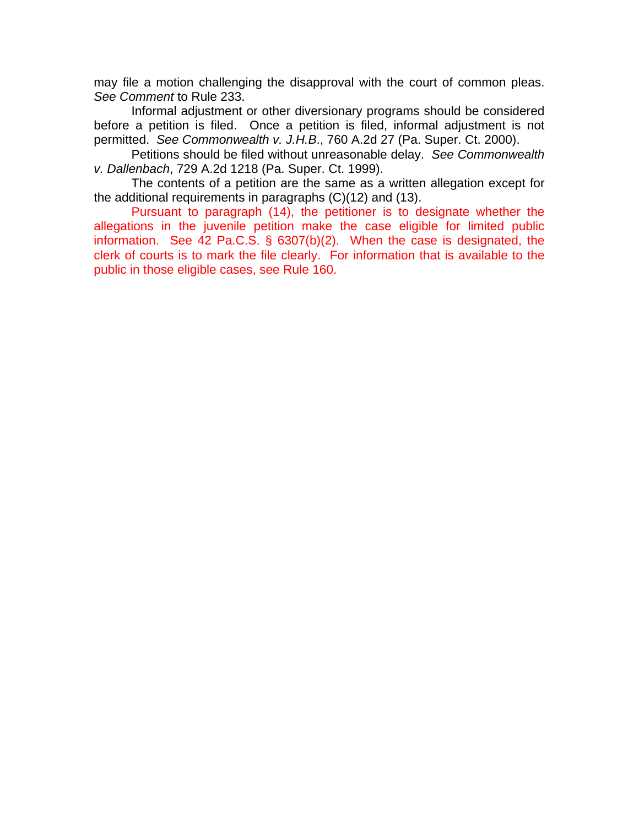may file a motion challenging the disapproval with the court of common pleas. *See Comment* to Rule 233.

Informal adjustment or other diversionary programs should be considered before a petition is filed. Once a petition is filed, informal adjustment is not permitted. *See Commonwealth v. J.H.B*., 760 A.2d 27 (Pa. Super. Ct. 2000).

Petitions should be filed without unreasonable delay. *See Commonwealth v. Dallenbach*, 729 A.2d 1218 (Pa. Super. Ct. 1999).

The contents of a petition are the same as a written allegation except for the additional requirements in paragraphs (C)(12) and (13).

Pursuant to paragraph (14), the petitioner is to designate whether the allegations in the juvenile petition make the case eligible for limited public information. See 42 Pa.C.S. § 6307(b)(2). When the case is designated, the clerk of courts is to mark the file clearly. For information that is available to the public in those eligible cases, see Rule 160.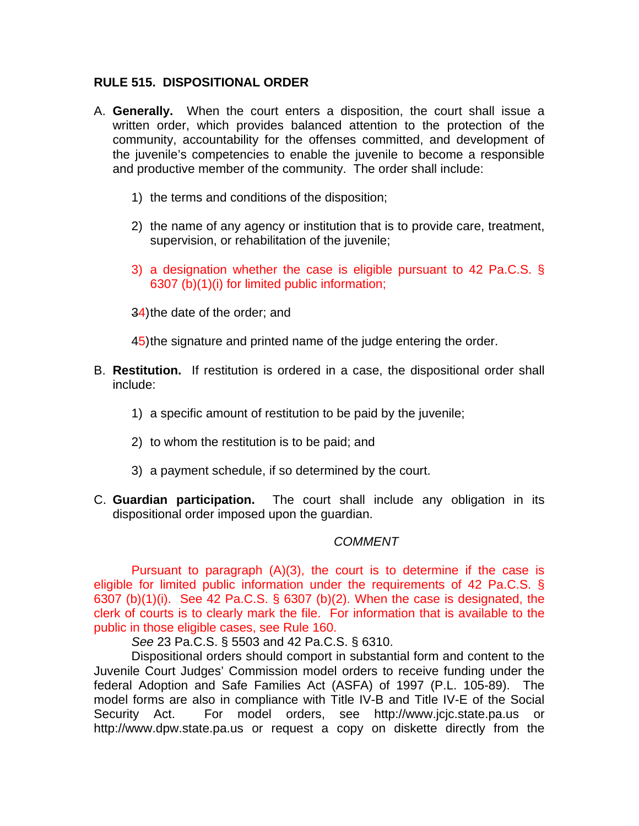## **RULE 515. DISPOSITIONAL ORDER**

- A. **Generally.** When the court enters a disposition, the court shall issue a written order, which provides balanced attention to the protection of the community, accountability for the offenses committed, and development of the juvenile's competencies to enable the juvenile to become a responsible and productive member of the community. The order shall include:
	- 1) the terms and conditions of the disposition;
	- 2) the name of any agency or institution that is to provide care, treatment, supervision, or rehabilitation of the juvenile;
	- 3) a designation whether the case is eligible pursuant to 42 Pa.C.S. § 6307 (b)(1)(i) for limited public information;
	- 34) the date of the order; and

45) the signature and printed name of the judge entering the order.

- B. **Restitution.** If restitution is ordered in a case, the dispositional order shall include:
	- 1) a specific amount of restitution to be paid by the juvenile;
	- 2) to whom the restitution is to be paid; and
	- 3) a payment schedule, if so determined by the court.
- C. **Guardian participation.** The court shall include any obligation in its dispositional order imposed upon the guardian.

## *COMMENT*

Pursuant to paragraph (A)(3), the court is to determine if the case is eligible for limited public information under the requirements of 42 Pa.C.S. § 6307 (b) $(1)(i)$ . See 42 Pa.C.S. § 6307 (b) $(2)$ . When the case is designated, the clerk of courts is to clearly mark the file. For information that is available to the public in those eligible cases, see Rule 160.

*See* 23 Pa.C.S. § 5503 and 42 Pa.C.S. § 6310.

Dispositional orders should comport in substantial form and content to the Juvenile Court Judges' Commission model orders to receive funding under the federal Adoption and Safe Families Act (ASFA) of 1997 (P.L. 105-89). The model forms are also in compliance with Title IV-B and Title IV-E of the Social Security Act. For model orders, see http://www.jcjc.state.pa.us or http://www.dpw.state.pa.us or request a copy on diskette directly from the